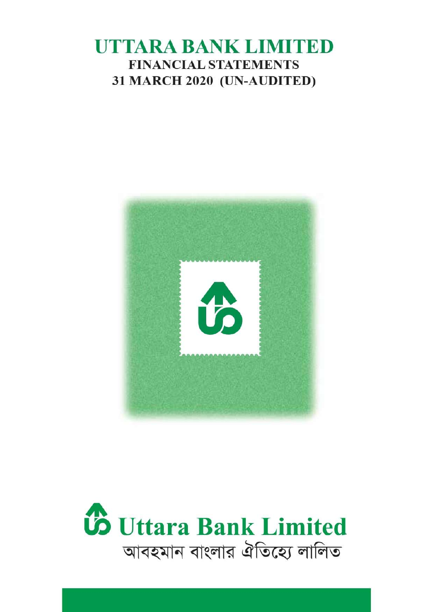# UTTARA BANK LIMITED **FINANCIAL STATEMENTS** 31 MARCH 2020 (UN-AUDITED)



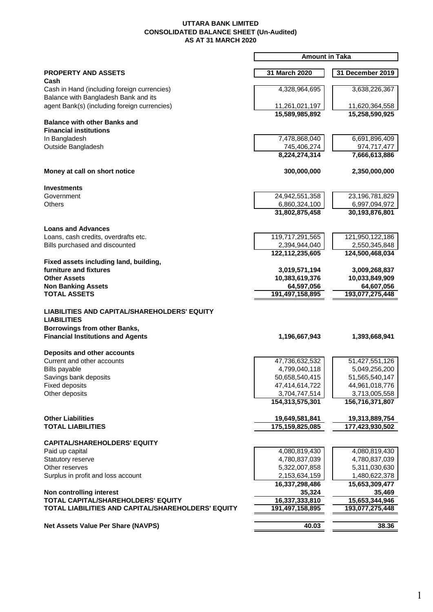#### **UTTARA BANK LIMITED CONSOLIDATED BALANCE SHEET (Un-Audited) AS AT 31 MARCH 2020**

|                                                                                                                                                | <b>Amount in Taka</b>            |                                  |
|------------------------------------------------------------------------------------------------------------------------------------------------|----------------------------------|----------------------------------|
| <b>PROPERTY AND ASSETS</b><br>Cash                                                                                                             | 31 March 2020                    | 31 December 2019                 |
| Cash in Hand (including foreign currencies)<br>Balance with Bangladesh Bank and its                                                            | 4,328,964,695                    | 3,638,226,367                    |
| agent Bank(s) (including foreign currencies)                                                                                                   | 11,261,021,197<br>15,589,985,892 | 11,620,364,558<br>15,258,590,925 |
| <b>Balance with other Banks and</b><br><b>Financial institutions</b>                                                                           |                                  |                                  |
| In Bangladesh<br>Outside Bangladesh                                                                                                            | 7,478,868,040<br>745,406,274     | 6,691,896,409<br>974,717,477     |
|                                                                                                                                                | 8,224,274,314                    | 7,666,613,886                    |
| Money at call on short notice                                                                                                                  | 300,000,000                      | 2,350,000,000                    |
| <b>Investments</b>                                                                                                                             |                                  |                                  |
| Government                                                                                                                                     | 24,942,551,358                   | 23,196,781,829                   |
| <b>Others</b>                                                                                                                                  | 6,860,324,100<br>31,802,875,458  | 6,997,094,972<br>30,193,876,801  |
|                                                                                                                                                |                                  |                                  |
| <b>Loans and Advances</b><br>Loans, cash credits, overdrafts etc.                                                                              | 119,717,291,565                  | 121,950,122,186                  |
| Bills purchased and discounted                                                                                                                 | 2,394,944,040                    | 2,550,345,848                    |
|                                                                                                                                                | 122,112,235,605                  | 124,500,468,034                  |
| Fixed assets including land, building,<br>furniture and fixtures                                                                               |                                  |                                  |
| <b>Other Assets</b>                                                                                                                            | 3,019,571,194<br>10,383,619,376  | 3,009,268,837<br>10,033,849,909  |
| <b>Non Banking Assets</b>                                                                                                                      | 64,597,056                       | 64,607,056                       |
| <b>TOTAL ASSETS</b>                                                                                                                            | 191,497,158,895                  | 193,077,275,448                  |
| LIABILITIES AND CAPITAL/SHAREHOLDERS' EQUITY<br><b>LIABILITIES</b><br>Borrowings from other Banks,<br><b>Financial Institutions and Agents</b> | 1,196,667,943                    | 1,393,668,941                    |
| Deposits and other accounts                                                                                                                    |                                  |                                  |
| Current and other accounts                                                                                                                     | 47,736,632,532                   | 51,427,551,126                   |
| Bills payable                                                                                                                                  | 4,799,040,118                    | 5,049,256,200                    |
| Savings bank deposits                                                                                                                          | 50,658,540,415                   | 51,565,540,147                   |
| <b>Fixed deposits</b><br>Other deposits                                                                                                        | 47,414,614,722<br>3,704,747,514  | 44,961,018,776<br>3,713,005,558  |
|                                                                                                                                                | 154,313,575,301                  | 156,716,371,807                  |
| <b>Other Liabilities</b>                                                                                                                       | 19,649,581,841                   | 19,313,889,754                   |
| <b>TOTAL LIABILITIES</b>                                                                                                                       | 175,159,825,085                  | 177,423,930,502                  |
| <b>CAPITAL/SHAREHOLDERS' EQUITY</b>                                                                                                            |                                  |                                  |
| Paid up capital<br>Statutory reserve                                                                                                           | 4,080,819,430<br>4,780,837,039   | 4,080,819,430                    |
| Other reserves                                                                                                                                 | 5,322,007,858                    | 4,780,837,039<br>5,311,030,630   |
| Surplus in profit and loss account                                                                                                             | 2,153,634,159                    | 1,480,622,378                    |
|                                                                                                                                                | 16,337,298,486                   | 15,653,309,477                   |
| Non controlling interest                                                                                                                       | 35,324                           | 35,469                           |
| TOTAL CAPITAL/SHAREHOLDERS' EQUITY                                                                                                             | 16,337,333,810                   | 15,653,344,946                   |
| TOTAL LIABILITIES AND CAPITAL/SHAREHOLDERS' EQUITY                                                                                             | 191,497,158,895                  | 193,077,275,448                  |
| Net Assets Value Per Share (NAVPS)                                                                                                             | 40.03                            | 38.36                            |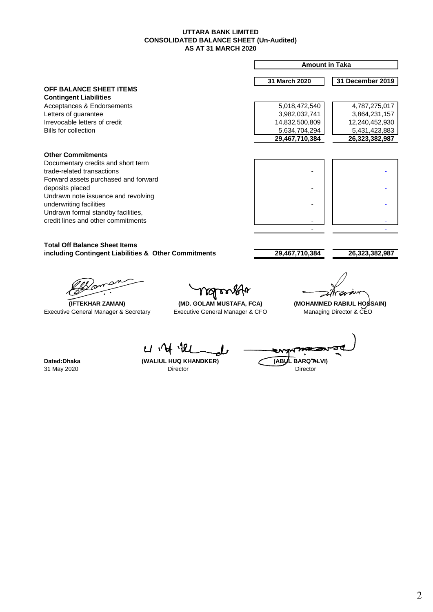#### **CONSOLIDATED BALANCE SHEET (Un-Audited) AS AT 31 MARCH 2020 UTTARA BANK LIMITED**

|                                                                                              |                                                                         | <b>Amount in Taka</b>                       |                                                      |
|----------------------------------------------------------------------------------------------|-------------------------------------------------------------------------|---------------------------------------------|------------------------------------------------------|
|                                                                                              |                                                                         | 31 March 2020                               | 31 December 2019                                     |
| OFF BALANCE SHEET ITEMS                                                                      |                                                                         |                                             |                                                      |
| <b>Contingent Liabilities</b><br>Acceptances & Endorsements                                  |                                                                         | 5,018,472,540                               | 4,787,275,017                                        |
| Letters of guarantee                                                                         |                                                                         | 3,982,032,741                               | 3,864,231,157                                        |
| Irrevocable letters of credit                                                                |                                                                         | 14,832,500,809                              | 12,240,452,930                                       |
| <b>Bills for collection</b>                                                                  |                                                                         | 5,634,704,294                               | 5,431,423,883                                        |
|                                                                                              |                                                                         | 29,467,710,384                              | 26,323,382,987                                       |
| <b>Other Commitments</b>                                                                     |                                                                         |                                             |                                                      |
| Documentary credits and short term                                                           |                                                                         |                                             |                                                      |
| trade-related transactions                                                                   |                                                                         |                                             |                                                      |
| Forward assets purchased and forward                                                         |                                                                         |                                             |                                                      |
| deposits placed                                                                              |                                                                         |                                             |                                                      |
| Undrawn note issuance and revolving                                                          |                                                                         |                                             |                                                      |
| underwriting facilities                                                                      |                                                                         |                                             |                                                      |
| Undrawn formal standby facilities,                                                           |                                                                         |                                             |                                                      |
| credit lines and other commitments                                                           |                                                                         |                                             |                                                      |
|                                                                                              |                                                                         |                                             |                                                      |
| <b>Total Off Balance Sheet Items</b><br>including Contingent Liabilities & Other Commitments |                                                                         | 29,467,710,384                              | 26,323,382,987                                       |
| (IFTEKHAR ZAMAN)<br>Executive General Manager & Secretary                                    | $\Delta$<br>(MD. GOLAM MUSTAFA, FCA)<br>Executive General Manager & CFO |                                             | (MOHAMMED RABIUL HOSSAIN)<br>Managing Director & CEO |
| Dated: Dhaka<br>31 May 2020                                                                  | (WALIUL HUQ KHANDKER)<br>Director                                       | (ABU<br>BARQ <sup>7</sup> ALVI)<br>Director |                                                      |
|                                                                                              |                                                                         |                                             |                                                      |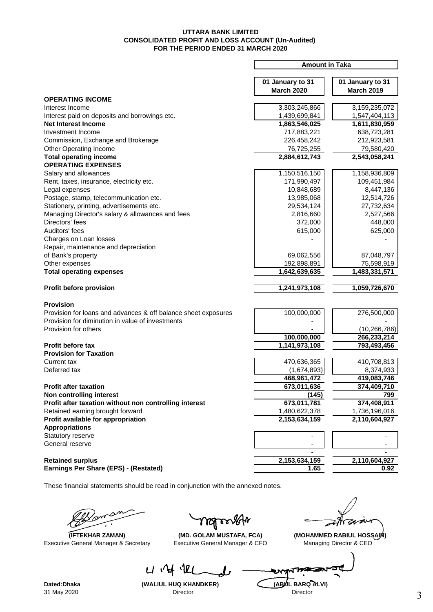#### **UTTARA BANK LIMITED CONSOLIDATED PROFIT AND LOSS ACCOUNT (Un-Audited) FOR THE PERIOD ENDED 31 MARCH 2020**

|                                                                | <b>Amount in Taka</b> |                   |  |
|----------------------------------------------------------------|-----------------------|-------------------|--|
|                                                                |                       |                   |  |
|                                                                | 01 January to 31      | 01 January to 31  |  |
|                                                                | <b>March 2020</b>     | <b>March 2019</b> |  |
| <b>OPERATING INCOME</b>                                        |                       |                   |  |
| Interest Income                                                | 3,303,245,866         | 3,159,235,072     |  |
|                                                                |                       |                   |  |
| Interest paid on deposits and borrowings etc.                  | 1,439,699,841         | 1,547,404,113     |  |
| <b>Net Interest Income</b>                                     | 1,863,546,025         | 1,611,830,959     |  |
| Investment Income                                              | 717,883,221           | 638,723,281       |  |
| Commission, Exchange and Brokerage                             | 226,458,242           | 212,923,581       |  |
| Other Operating Income                                         | 76,725,255            | 79,580,420        |  |
| <b>Total operating income</b>                                  | 2,884,612,743         | 2,543,058,241     |  |
| <b>OPERATING EXPENSES</b>                                      |                       |                   |  |
| Salary and allowances                                          | 1,150,516,150         | 1,158,936,809     |  |
| Rent, taxes, insurance, electricity etc.                       | 171,990,497           | 109,451,984       |  |
| Legal expenses                                                 | 10,848,689            | 8,447,136         |  |
| Postage, stamp, telecommunication etc.                         | 13,985,068            | 12,514,726        |  |
| Stationery, printing, advertisements etc.                      | 29,534,124            | 27,732,634        |  |
| Managing Director's salary & allowances and fees               | 2,816,660             | 2,527,566         |  |
| Directors' fees                                                | 372,000               | 448,000           |  |
| Auditors' fees                                                 | 615,000               | 625,000           |  |
| Charges on Loan losses                                         |                       |                   |  |
| Repair, maintenance and depreciation                           |                       |                   |  |
|                                                                |                       |                   |  |
| of Bank's property                                             | 69,062,556            | 87,048,797        |  |
| Other expenses                                                 | 192,898,891           | 75,598,919        |  |
| <b>Total operating expenses</b>                                | 1,642,639,635         | 1,483,331,571     |  |
|                                                                |                       |                   |  |
| Profit before provision                                        | 1,241,973,108         | 1,059,726,670     |  |
|                                                                |                       |                   |  |
| <b>Provision</b>                                               |                       |                   |  |
| Provision for loans and advances & off balance sheet exposures | 100,000,000           | 276,500,000       |  |
| Provision for diminution in value of investments               |                       |                   |  |
| Provision for others                                           |                       | (10, 266, 786)    |  |
|                                                                | 100,000,000           | 266,233,214       |  |
| Profit before tax                                              | 1,141,973,108         | 793,493,456       |  |
| <b>Provision for Taxation</b>                                  |                       |                   |  |
| Current tax                                                    | 470,636,365           | 410,708,813       |  |
| Deferred tax                                                   | (1,674,893)           | 8,374,933         |  |
|                                                                | 468,961,472           | 419,083,746       |  |
| <b>Profit after taxation</b>                                   | 673,011,636           | 374,409,710       |  |
| Non controlling interest                                       | (145)                 | 799               |  |
| Profit after taxation without non controlling interest         | 673,011,781           | 374,408,911       |  |
| Retained earning brought forward                               | 1,480,622,378         | 1,736,196,016     |  |
| Profit available for appropriation                             | 2,153,634,159         | 2,110,604,927     |  |
|                                                                |                       |                   |  |
| <b>Appropriations</b>                                          |                       |                   |  |
| Statutory reserve                                              |                       |                   |  |
| General reserve                                                |                       |                   |  |
|                                                                |                       |                   |  |
| <b>Retained surplus</b>                                        | 2,153,634,159         | 2,110,604,927     |  |
| Earnings Per Share (EPS) - (Restated)                          | 1.65                  | 0.92              |  |
|                                                                |                       |                   |  |

These financial statements should be read in conjunction with the annexed notes.

 $U \Psi$ 

Executive General Manager & Secretary Executive General Manager & CFO Managing Director & CEO

Y YOJ r

 **(IFTEKHAR ZAMAN) (MD. GOLAM MUSTAFA, FCA) (MOHAMMED RABIUL HOSSAIN)**

74 ∡

31 May 2020

**Dated:Dhaka** (WALIUL HUQ KHANDKER) (ABUL BARQ ALVI)<br>31 May 2020 **Director** Director

ৼ৸৵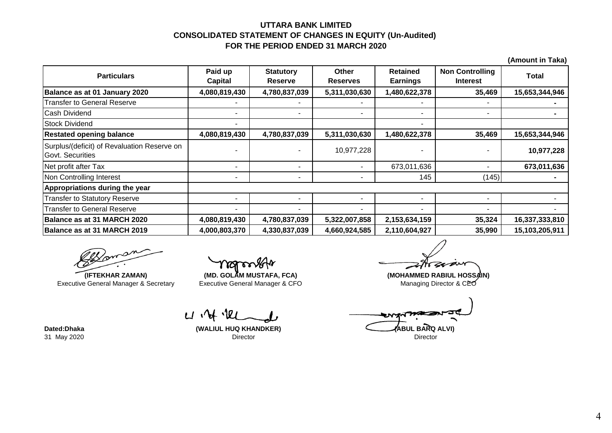## **UTTARA BANK LIMITED CONSOLIDATED STATEMENT OF CHANGES IN EQUITY (Un-Audited) FOR THE PERIOD ENDED 31 MARCH 2020**

|                                                                 |                           |                                    |                                 |                                    |                                           | $\lambda$      |
|-----------------------------------------------------------------|---------------------------|------------------------------------|---------------------------------|------------------------------------|-------------------------------------------|----------------|
| <b>Particulars</b>                                              | Paid up<br><b>Capital</b> | <b>Statutory</b><br><b>Reserve</b> | <b>Other</b><br><b>Reserves</b> | <b>Retained</b><br><b>Earnings</b> | <b>Non Controlling</b><br><b>Interest</b> | <b>Total</b>   |
| Balance as at 01 January 2020                                   | 4,080,819,430             | 4,780,837,039                      | 5,311,030,630                   | 1,480,622,378                      | 35,469                                    | 15,653,344,946 |
| Transfer to General Reserve                                     |                           |                                    |                                 |                                    |                                           |                |
| <b>Cash Dividend</b>                                            |                           |                                    | -                               | ۰                                  | ۰                                         |                |
| <b>Stock Dividend</b>                                           |                           |                                    |                                 | ۰                                  |                                           |                |
| <b>Restated opening balance</b>                                 | 4,080,819,430             | 4,780,837,039                      | 5,311,030,630                   | 1,480,622,378                      | 35,469                                    | 15,653,344,946 |
| Surplus/(deficit) of Revaluation Reserve on<br>Govt. Securities |                           |                                    | 10,977,228                      |                                    |                                           | 10,977,228     |
| Net profit after Tax                                            |                           | ٠                                  |                                 | 673,011,636                        |                                           | 673,011,636    |
| Non Controlling Interest                                        |                           | ٠                                  |                                 | 145                                | (145)                                     |                |
| Appropriations during the year                                  |                           |                                    |                                 |                                    |                                           |                |
| <b>Transfer to Statutory Reserve</b>                            |                           | $\overline{\phantom{a}}$           |                                 |                                    | ۰                                         |                |
| <b>Transfer to General Reserve</b>                              |                           | ٠                                  |                                 | ۰                                  | ۰                                         |                |
| Balance as at 31 MARCH 2020                                     | 4,080,819,430             | 4,780,837,039                      | 5,322,007,858                   | 2,153,634,159                      | 35,324                                    | 16,337,333,810 |
| Balance as at 31 MARCH 2019                                     | 4,000,803,370             | 4,330,837,039                      | 4,660,924,585                   | 2,110,604,927                      | 35,990                                    | 15,103,205,911 |

**(IFTEKHAR ZAMAN)** Executive General Manager & Secretary

Executive General Manager & CFO Managing Director & CEO

 $U \vee V$ 

31 May 2020 Director Director

zı

**(MD. GOLAM MUSTAFA, FCA) (MOHAMMED RABIUL HOSSAIN)**

Dated:Dhaka **Maxwell ABUL BARQ ALVI**) (WALIUL HUQ KHANDKER) **ABUL BARQ ALVI**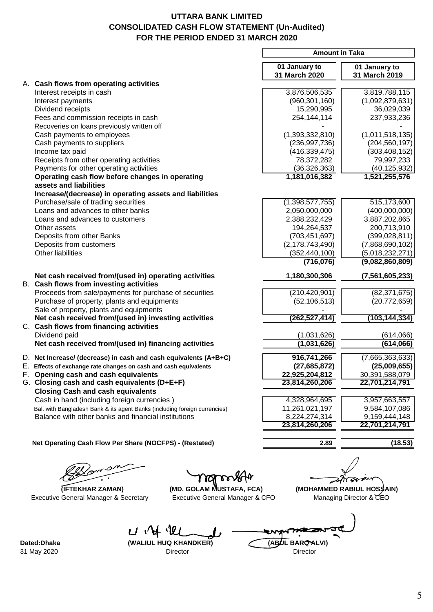# **UTTARA BANK LIMITED CONSOLIDATED CASH FLOW STATEMENT (Un-Audited) FOR THE PERIOD ENDED 31 MARCH 2020**

|                                                                                                  | <b>Amount in Taka</b>          |                                |
|--------------------------------------------------------------------------------------------------|--------------------------------|--------------------------------|
|                                                                                                  | 01 January to<br>31 March 2020 | 01 January to<br>31 March 2019 |
| A. Cash flows from operating activities                                                          |                                |                                |
| Interest receipts in cash                                                                        | 3,876,506,535                  | 3,819,788,115                  |
| Interest payments                                                                                | (960, 301, 160)                | (1,092,879,631)                |
| Dividend receipts                                                                                | 15,290,995                     | 36,029,039                     |
| Fees and commission receipts in cash<br>Recoveries on loans previously written off               | 254,144,114                    | 237,933,236                    |
| Cash payments to employees                                                                       | (1,393,332,810)                | (1,011,518,135)                |
| Cash payments to suppliers                                                                       | (236, 997, 736)                | (204, 560, 197)                |
| Income tax paid                                                                                  | (416, 339, 475)                | (303, 408, 152)                |
| Receipts from other operating activities                                                         | 78,372,282                     | 79,997,233                     |
| Payments for other operating activities                                                          | (36, 326, 363)                 | (40, 125, 932)                 |
| Operating cash flow before changes in operating                                                  | 1,181,016,382                  | 1,521,255,576                  |
| assets and liabilities                                                                           |                                |                                |
| Increase/(decrease) in operating assets and liabilities                                          |                                |                                |
| Purchase/sale of trading securities                                                              | (1,398,577,755)                | 515,173,600                    |
| Loans and advances to other banks                                                                | 2,050,000,000                  | (400,000,000)                  |
| Loans and advances to customers                                                                  | 2,388,232,429                  | 3,887,202,865                  |
| Other assets                                                                                     | 194,264,537                    | 200,713,910                    |
| Deposits from other Banks                                                                        | (703, 451, 697)                | (399, 028, 811)                |
| Deposits from customers                                                                          | (2, 178, 743, 490)             | (7,868,690,102)                |
| Other liabilities                                                                                | (352, 440, 100)                | (5,018,232,271)                |
|                                                                                                  | (716, 076)                     | (9,082,860,809)                |
| Net cash received from/(used in) operating activities<br>B. Cash flows from investing activities | 1,180,300,306                  | (7, 561, 605, 233)             |
| Proceeds from sale/payments for purchase of securities                                           | (210, 420, 901)                | (82, 371, 675)                 |
| Purchase of property, plants and equipments                                                      | (52, 106, 513)                 | (20, 772, 659)                 |
| Sale of property, plants and equipments                                                          |                                |                                |
| Net cash received from/(used in) investing activities<br>C. Cash flows from financing activities | (262, 527, 414)                | (103,144,334)                  |
| Dividend paid                                                                                    | (1,031,626)                    | (614,066)                      |
| Net cash received from/(used in) financing activities                                            | (1,031,626)                    | (614,066)                      |
| D. Net Increase/ (decrease) in cash and cash equivalents (A+B+C)                                 | 916,741,266                    | (7,665,363,633)                |
| E. Effects of exchange rate changes on cash and cash equivalents                                 | (27, 685, 872)                 | (25,009,655)                   |
| F. Opening cash and cash equivalents                                                             | 22,925,204,812                 | 30,391,588,079                 |
| G. Closing cash and cash equivalents (D+E+F)                                                     | 23,814,260,206                 | 22,701,214,791                 |
| <b>Closing Cash and cash equivalents</b>                                                         |                                |                                |
| Cash in hand (including foreign currencies)                                                      | 4,328,964,695                  | 3,957,663,557                  |
| Bal. with Bangladesh Bank & its agent Banks (including foreign currencies)                       | 11,261,021,197                 | 9,584,107,086                  |
| Balance with other banks and financial institutions                                              | 8,224,274,314                  | 9,159,444,148                  |
|                                                                                                  | 23,814,260,206                 | 22,701,214,791                 |
| Net Operating Cash Flow Per Share (NOCFPS) - (Restated)                                          | 2.89                           | (18.53)                        |
|                                                                                                  |                                |                                |
|                                                                                                  |                                |                                |
| <b>(IFTEKHAR ZAMAN)</b><br>(MD. GOLAM MUSTAFA, FCA)                                              |                                | (MOHAMMED RABIUL HOS\$AIN)     |
| <b>Executive General Manager &amp; Secretary</b><br>Executive General Manager & CFO              |                                | Managing Director & CEO        |
|                                                                                                  |                                |                                |

Dated:Dhaka **(WALIUL HUQ KHANDKER)** (ABUL BARQ ALVI) 31 May 2020 Director Director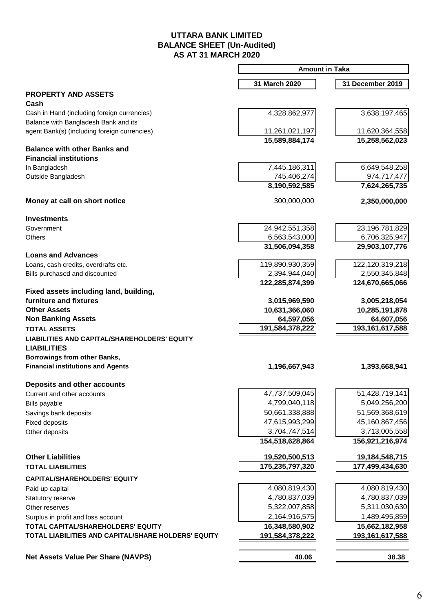## **UTTARA BANK LIMITED BALANCE SHEET (Un-Audited) AS AT 31 MARCH 2020**

|                                                                            | <b>Amount in Taka</b> |                                 |  |
|----------------------------------------------------------------------------|-----------------------|---------------------------------|--|
|                                                                            | 31 March 2020         | 31 December 2019                |  |
| <b>PROPERTY AND ASSETS</b>                                                 |                       |                                 |  |
| Cash                                                                       |                       |                                 |  |
| Cash in Hand (including foreign currencies)                                | 4,328,862,977         | 3,638,197,465                   |  |
| Balance with Bangladesh Bank and its                                       |                       |                                 |  |
| agent Bank(s) (including foreign currencies)                               | 11,261,021,197        | 11,620,364,558                  |  |
| <b>Balance with other Banks and</b>                                        | 15,589,884,174        | 15,258,562,023                  |  |
| <b>Financial institutions</b>                                              |                       |                                 |  |
| In Bangladesh                                                              | 7,445,186,311         | 6,649,548,258                   |  |
| Outside Bangladesh                                                         | 745,406,274           | 974,717,477                     |  |
|                                                                            | 8,190,592,585         | 7,624,265,735                   |  |
| Money at call on short notice                                              | 300,000,000           | 2,350,000,000                   |  |
| <b>Investments</b>                                                         |                       |                                 |  |
| Government                                                                 | 24,942,551,358        | 23,196,781,829                  |  |
| Others                                                                     | 6,563,543,000         | 6,706,325,947                   |  |
|                                                                            | 31,506,094,358        | 29,903,107,776                  |  |
| <b>Loans and Advances</b>                                                  |                       |                                 |  |
| Loans, cash credits, overdrafts etc.                                       | 119,890,930,359       | 122,120,319,218                 |  |
| Bills purchased and discounted                                             | 2,394,944,040         | 2,550,345,848                   |  |
|                                                                            | 122,285,874,399       | 124,670,665,066                 |  |
| Fixed assets including land, building,<br>furniture and fixtures           | 3,015,969,590         |                                 |  |
| <b>Other Assets</b>                                                        | 10,631,366,060        | 3,005,218,054<br>10,285,191,878 |  |
| <b>Non Banking Assets</b>                                                  | 64,597,056            | 64,607,056                      |  |
|                                                                            | 191,584,378,222       | 193, 161, 617, 588              |  |
| <b>TOTAL ASSETS</b><br><b>LIABILITIES AND CAPITAL/SHAREHOLDERS' EQUITY</b> |                       |                                 |  |
| <b>LIABILITIES</b>                                                         |                       |                                 |  |
| Borrowings from other Banks,                                               |                       |                                 |  |
| <b>Financial institutions and Agents</b>                                   | 1,196,667,943         | 1,393,668,941                   |  |
| Deposits and other accounts                                                |                       |                                 |  |
| Current and other accounts                                                 | 47,737,509,045        | 51,428,719,141                  |  |
| Bills payable                                                              | 4,799,040,118         | 5,049,256,200                   |  |
| Savings bank deposits                                                      | 50,661,338,888        | 51,569,368,619                  |  |
| <b>Fixed deposits</b>                                                      | 47,615,993,299        | 45,160,867,456                  |  |
| Other deposits                                                             | 3,704,747,514         | 3,713,005,558                   |  |
|                                                                            | 154,518,628,864       | 156,921,216,974                 |  |
| <b>Other Liabilities</b>                                                   | 19,520,500,513        | 19,184,548,715                  |  |
| <b>TOTAL LIABILITIES</b>                                                   | 175,235,797,320       | 177,499,434,630                 |  |
| <b>CAPITAL/SHAREHOLDERS' EQUITY</b>                                        |                       |                                 |  |
| Paid up capital                                                            | 4,080,819,430         | 4,080,819,430                   |  |
| Statutory reserve                                                          | 4,780,837,039         | 4,780,837,039                   |  |
| Other reserves                                                             | 5,322,007,858         | 5,311,030,630                   |  |
| Surplus in profit and loss account                                         | 2,164,916,575         | 1,489,495,859                   |  |
| TOTAL CAPITAL/SHAREHOLDERS' EQUITY                                         | 16,348,580,902        | 15,662,182,958                  |  |
| TOTAL LIABILITIES AND CAPITAL/SHARE HOLDERS' EQUITY                        | 191,584,378,222       | 193,161,617,588                 |  |
|                                                                            |                       |                                 |  |
| <b>Net Assets Value Per Share (NAVPS)</b>                                  | 40.06                 | 38.38                           |  |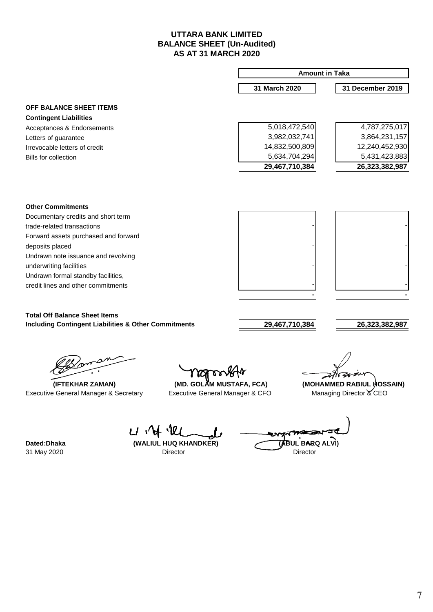## **UTTARA BANK LIMITED BALANCE SHEET (Un-Audited) AS AT 31 MARCH 2020**

|                                                                 |                                                                       | <b>Amount in Taka</b> |                                                      |  |
|-----------------------------------------------------------------|-----------------------------------------------------------------------|-----------------------|------------------------------------------------------|--|
|                                                                 |                                                                       | 31 March 2020         | 31 December 2019                                     |  |
| <b>OFF BALANCE SHEET ITEMS</b>                                  |                                                                       |                       |                                                      |  |
| <b>Contingent Liabilities</b>                                   |                                                                       |                       |                                                      |  |
| Acceptances & Endorsements                                      |                                                                       | 5,018,472,540         | 4,787,275,017                                        |  |
| Letters of guarantee                                            |                                                                       | 3,982,032,741         | 3,864,231,157                                        |  |
| Irrevocable letters of credit                                   |                                                                       | 14,832,500,809        | 12,240,452,930                                       |  |
| <b>Bills for collection</b>                                     |                                                                       | 5,634,704,294         | 5,431,423,883                                        |  |
|                                                                 |                                                                       | 29,467,710,384        | 26,323,382,987                                       |  |
|                                                                 |                                                                       |                       |                                                      |  |
| <b>Other Commitments</b>                                        |                                                                       |                       |                                                      |  |
| Documentary credits and short term                              |                                                                       |                       |                                                      |  |
| trade-related transactions                                      |                                                                       |                       |                                                      |  |
| Forward assets purchased and forward                            |                                                                       |                       |                                                      |  |
| deposits placed                                                 |                                                                       |                       |                                                      |  |
| Undrawn note issuance and revolving                             |                                                                       |                       |                                                      |  |
| underwriting facilities                                         |                                                                       |                       |                                                      |  |
| Undrawn formal standby facilities,                              |                                                                       |                       |                                                      |  |
| credit lines and other commitments                              |                                                                       |                       |                                                      |  |
|                                                                 |                                                                       |                       |                                                      |  |
| <b>Total Off Balance Sheet Items</b>                            |                                                                       |                       |                                                      |  |
| <b>Including Contingent Liabilities &amp; Other Commitments</b> |                                                                       | 29,467,710,384        | 26,323,382,987                                       |  |
| (IFTEKHAR ZAMAN)<br>Executive General Manager & Secretary       | ngrong<br>(MD. GOLAM MUSTAFA, FCA)<br>Executive General Manager & CFO |                       | (MOHAMMED RABIUL HOSSAIN)<br>Managing Director & CEO |  |
|                                                                 |                                                                       |                       |                                                      |  |

Angre Dated:Dhaka (WALIUL HUQ KHANDKER) (ABUL BARQ ALVI) Director

 $U \mathcal{M} \mathcal{U}$ L 31 May 2020 Director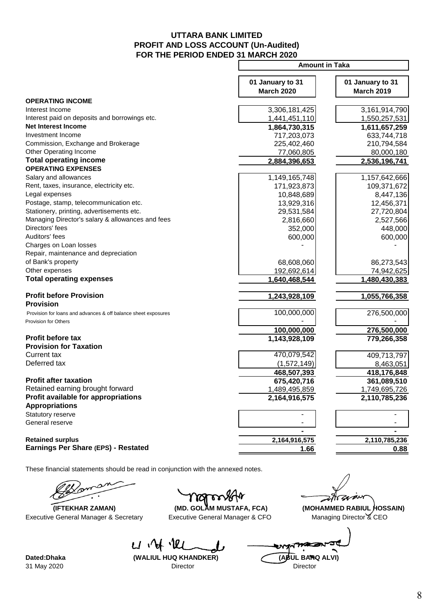## **PROFIT AND LOSS ACCOUNT (Un-Audited) FOR THE PERIOD ENDED 31 MARCH 2020 UTTARA BANK LIMITED**

|                                                                | <b>Amount in Taka</b>                 |                                       |  |
|----------------------------------------------------------------|---------------------------------------|---------------------------------------|--|
|                                                                | 01 January to 31<br><b>March 2020</b> | 01 January to 31<br><b>March 2019</b> |  |
| <b>OPERATING INCOME</b>                                        |                                       |                                       |  |
| Interest Income                                                | 3,306,181,425                         | 3,161,914,790                         |  |
| Interest paid on deposits and borrowings etc.                  | 1,441,451,110                         | 1,550,257,531                         |  |
| <b>Net Interest Income</b>                                     | 1,864,730,315                         | 1,611,657,259                         |  |
| Investment Income                                              | 717,203,073                           | 633,744,718                           |  |
| Commission, Exchange and Brokerage                             | 225,402,460                           | 210,794,584                           |  |
| Other Operating Income                                         | 77,060,805                            | 80,000,180                            |  |
| <b>Total operating income</b>                                  | 2,884,396,653                         | 2,536,196,741                         |  |
| <b>OPERATING EXPENSES</b>                                      |                                       |                                       |  |
| Salary and allowances                                          | 1,149,165,748                         | 1,157,642,666                         |  |
| Rent, taxes, insurance, electricity etc.                       | 171,923,873                           | 109,371,672                           |  |
| Legal expenses                                                 | 10,848,689                            | 8,447,136                             |  |
| Postage, stamp, telecommunication etc.                         | 13,929,316                            | 12,456,371                            |  |
| Stationery, printing, advertisements etc.                      | 29,531,584                            | 27,720,804                            |  |
| Managing Director's salary & allowances and fees               | 2,816,660                             | 2,527,566                             |  |
| Directors' fees                                                | 352,000                               | 448,000                               |  |
| Auditors' fees                                                 | 600,000                               | 600,000                               |  |
| Charges on Loan losses                                         |                                       |                                       |  |
| Repair, maintenance and depreciation                           |                                       |                                       |  |
| of Bank's property                                             | 68,608,060                            | 86,273,543                            |  |
| Other expenses                                                 | 192,692,614                           | 74,942,625                            |  |
| <b>Total operating expenses</b>                                | 1,640,468,544                         | 1,480,430,383                         |  |
| <b>Profit before Provision</b><br><b>Provision</b>             | 1,243,928,109                         | 1,055,766,358                         |  |
| Provision for loans and advances & off balance sheet exposures | 100,000,000                           | 276,500,000                           |  |
| Provision for Others                                           |                                       |                                       |  |
|                                                                | 100,000,000                           | 276,500,000                           |  |
| <b>Profit before tax</b><br><b>Provision for Taxation</b>      | 1,143,928,109                         | 779,266,358                           |  |
| Current tax                                                    | 470,079,542                           | 409,713,797                           |  |
| Deferred tax                                                   | (1,572,149)                           | 8,463,051                             |  |
|                                                                | 468,507,393                           | 418,176,848                           |  |
| <b>Profit after taxation</b>                                   | 675,420,716                           | 361,089,510                           |  |
| Retained earning brought forward                               | 1,489,495,859                         | 1,749,695,726                         |  |
| Profit available for appropriations                            | 2,164,916,575                         | 2,110,785,236                         |  |
| <b>Appropriations</b>                                          |                                       |                                       |  |
| Statutory reserve                                              |                                       |                                       |  |
| General reserve                                                |                                       |                                       |  |
|                                                                |                                       |                                       |  |
| <b>Retained surplus</b>                                        | 2,164,916,575                         | 2,110,785,236                         |  |
| Earnings Per Share (EPS) - Restated                            | 1.66                                  | 0.88                                  |  |
|                                                                |                                       |                                       |  |

These financial statements should be read in conjunction with the annexed notes.

Executive General Manager & Secretary Executive General Manager & CFO Managing Director & CEO

ିମ୍ମ

zgrzeń

 **(IFTEKHAR ZAMAN) (MD. GOLAM MUSTAFA, FCA) (MOHAMMED RABIUL HOSSAIN)**

 $U \vee V$ 

w **Dated:Dhaka (WALIUL HUQ KHANDKER) (ABUL BARQ ALVI)** 31 May 2020 Director Director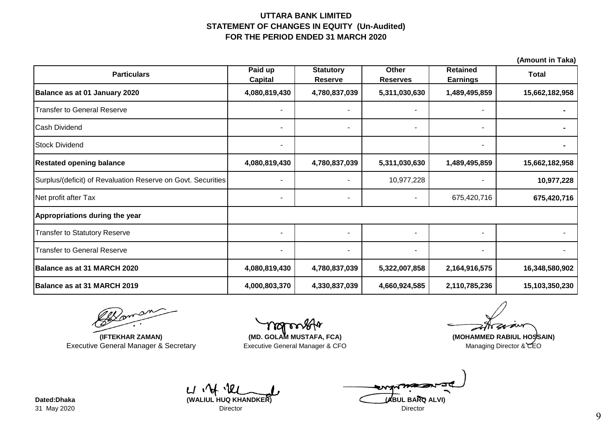## **FOR THE PERIOD ENDED 31 MARCH 2020 UTTARA BANK LIMITED STATEMENT OF CHANGES IN EQUITY (Un-Audited)**

|                           |                                    |                          |                                    | (Allivulit III Tana) |
|---------------------------|------------------------------------|--------------------------|------------------------------------|----------------------|
| Paid up<br><b>Capital</b> | <b>Statutory</b><br><b>Reserve</b> | Other<br><b>Reserves</b> | <b>Retained</b><br><b>Earnings</b> | <b>Total</b>         |
| 4,080,819,430             | 4,780,837,039                      | 5,311,030,630            | 1,489,495,859                      | 15,662,182,958       |
|                           |                                    |                          |                                    |                      |
| $\overline{\phantom{a}}$  |                                    |                          | ٠                                  |                      |
| $\overline{\phantom{a}}$  |                                    |                          | ٠.                                 |                      |
| 4,080,819,430             | 4,780,837,039                      | 5,311,030,630            | 1,489,495,859                      | 15,662,182,958       |
| $\overline{\phantom{a}}$  | $\blacksquare$                     | 10,977,228               | ۰.                                 | 10,977,228           |
| $\overline{\phantom{a}}$  |                                    |                          | 675,420,716                        | 675,420,716          |
|                           |                                    |                          |                                    |                      |
|                           |                                    |                          |                                    |                      |
| $\sim$                    |                                    |                          | $\blacksquare$                     |                      |
| 4,080,819,430             | 4,780,837,039                      | 5,322,007,858            | 2,164,916,575                      | 16,348,580,902       |
| 4,000,803,370             | 4,330,837,039                      | 4,660,924,585            | 2,110,785,236                      | 15,103,350,230       |
|                           |                                    |                          |                                    |                      |

Doman

**(IFTEKHAR ZAMAN)** Executive General Manager & Secretary

Executive General Manager & CFO Managing Director & CEO **(MD. GOLAM MUSTAFA, FCA) (MOHAMMED RABIUL HOSSAIN)**

 $U \mathcal{U} \Phi$ 31 May 2020 Director Director

**Dated:Dhaka (WALIUL HUQ KHANDKER) (ABUL BARQ ALVI)**

**(Amount in Taka)**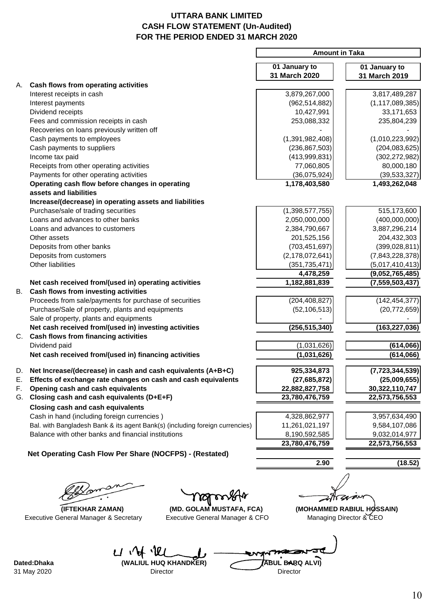# **UTTARA BANK LIMITED CASH FLOW STATEMENT (Un-Audited) FOR THE PERIOD ENDED 31 MARCH 2020**

|    |                                                                              | <b>Amount in Taka</b> |                           |
|----|------------------------------------------------------------------------------|-----------------------|---------------------------|
|    |                                                                              | 01 January to         | 01 January to             |
|    |                                                                              | 31 March 2020         | 31 March 2019             |
|    | A. Cash flows from operating activities                                      |                       |                           |
|    | Interest receipts in cash                                                    | 3,879,267,000         | 3,817,489,287             |
|    | Interest payments                                                            | (962, 514, 882)       | (1, 117, 089, 385)        |
|    | Dividend receipts                                                            | 10,427,991            | 33,171,653                |
|    | Fees and commission receipts in cash                                         | 253,088,332           | 235,804,239               |
|    | Recoveries on loans previously written off                                   |                       |                           |
|    | Cash payments to employees                                                   | (1,391,982,408)       | (1,010,223,992)           |
|    | Cash payments to suppliers                                                   | (236, 867, 503)       | (204, 083, 625)           |
|    | Income tax paid                                                              | (413,999,831)         | (302, 272, 982)           |
|    | Receipts from other operating activities                                     | 77,060,805            | 80,000,180                |
|    | Payments for other operating activities                                      | (36,075,924)          | (39, 533, 327)            |
|    | Operating cash flow before changes in operating                              | 1,178,403,580         | 1,493,262,048             |
|    | assets and liabilities                                                       |                       |                           |
|    | Increase/(decrease) in operating assets and liabilities                      |                       |                           |
|    | Purchase/sale of trading securities                                          | (1,398,577,755)       | 515,173,600               |
|    | Loans and advances to other banks                                            | 2,050,000,000         | (400,000,000)             |
|    | Loans and advances to customers                                              | 2,384,790,667         | 3,887,296,214             |
|    | Other assets                                                                 | 201,525,156           | 204,432,303               |
|    | Deposits from other banks                                                    | (703, 451, 697)       | (399, 028, 811)           |
|    | Deposits from customers                                                      | (2, 178, 072, 641)    | (7,843,228,378)           |
|    | Other liabilities                                                            | (351, 735, 471)       | (5,017,410,413)           |
|    |                                                                              | 4,478,259             | (9,052,765,485)           |
|    | Net cash received from/(used in) operating activities                        | 1,182,881,839         | (7, 559, 503, 437)        |
| В. | Cash flows from investing activities                                         |                       |                           |
|    | Proceeds from sale/payments for purchase of securities                       | (204, 408, 827)       | (142, 454, 377)           |
|    | Purchase/Sale of property, plants and equipments                             | (52, 106, 513)        | (20, 772, 659)            |
|    | Sale of property, plants and equipments                                      |                       |                           |
|    | Net cash received from/(used in) investing activities                        | (256, 515, 340)       | (163, 227, 036)           |
|    | C. Cash flows from financing activities                                      |                       |                           |
|    | Dividend paid                                                                | (1,031,626)           | (614,066)                 |
|    | Net cash received from/(used in) financing activities                        | (1,031,626)           | (614,066)                 |
|    | D. Net Increase/(decrease) in cash and cash equivalents (A+B+C)              | 925,334,873           | (7, 723, 344, 539)        |
| Ε. | Effects of exchange rate changes on cash and cash equivalents                | (27, 685, 872)        | (25,009,655)              |
| F. | Opening cash and cash equivalents                                            | 22,882,827,758        | 30,322,110,747            |
| G. | Closing cash and cash equivalents (D+E+F)                                    | 23,780,476,759        | 22,573,756,553            |
|    | <b>Closing cash and cash equivalents</b>                                     |                       |                           |
|    | Cash in hand (including foreign currencies)                                  | 4,328,862,977         | 3,957,634,490             |
|    | Bal. with Bangladesh Bank & its agent Bank(s) (including foreign currencies) | 11,261,021,197        | 9,584,107,086             |
|    | Balance with other banks and financial institutions                          | 8,190,592,585         | 9,032,014,977             |
|    |                                                                              | 23,780,476,759        | 22,573,756,553            |
|    | Net Operating Cash Flow Per Share (NOCFPS) - (Restated)                      |                       |                           |
|    |                                                                              | 2.90                  | (18.52)                   |
|    |                                                                              |                       |                           |
|    |                                                                              |                       |                           |
|    | YZY                                                                          |                       |                           |
|    | (IFTEKHAR ZAMAN)<br>(MD. GOLAM MUSTAFA, FCA)                                 |                       | (MOHAMMED RABIUL HØSSAIN) |
|    | Executive General Manager & CFO<br>Executive General Manager & Secretary     |                       | Managing Director & CEO   |

Dated:Dhaka **(WALIUL HUQ KHANDKER)** 

 $U \mathcal{A} \Psi$ 

ขา Dated:Dhaka (WALIUL HUQ KHANDKER) (ABUL BARQ ALVI)<br>31 May 2020 Director Director

10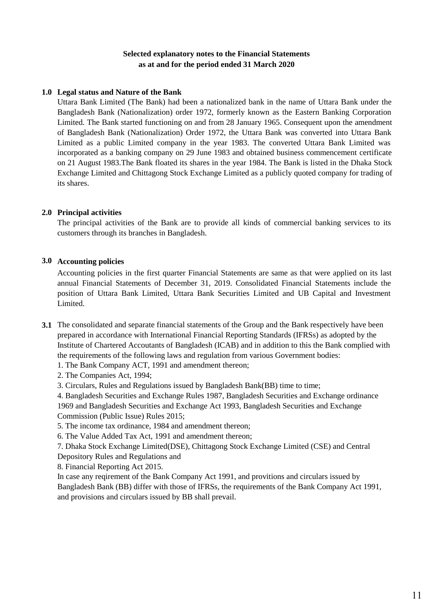## **Selected explanatory notes to the Financial Statements as at and for the period ended 31 March 2020**

## **1.0 Legal status and Nature of the Bank**

Uttara Bank Limited (The Bank) had been a nationalized bank in the name of Uttara Bank under the Bangladesh Bank (Nationalization) order 1972, formerly known as the Eastern Banking Corporation Limited. The Bank started functioning on and from 28 January 1965. Consequent upon the amendment of Bangladesh Bank (Nationalization) Order 1972, the Uttara Bank was converted into Uttara Bank Limited as a public Limited company in the year 1983. The converted Uttara Bank Limited was incorporated as a banking company on 29 June 1983 and obtained business commencement certificate on 21 August 1983.The Bank floated its shares in the year 1984. The Bank is listed in the Dhaka Stock Exchange Limited and Chittagong Stock Exchange Limited as a publicly quoted company for trading of its shares.

## **2.0 Principal activities**

The principal activities of the Bank are to provide all kinds of commercial banking services to its customers through its branches in Bangladesh.

## **3.0 Accounting policies**

Accounting policies in the first quarter Financial Statements are same as that were applied on its last annual Financial Statements of December 31, 2019. Consolidated Financial Statements include the position of Uttara Bank Limited, Uttara Bank Securities Limited and UB Capital and Investment Limited.

- **3.1** The consolidated and separate financial statements of the Group and the Bank respectively have been prepared in accordance with International Financial Reporting Standards (IFRSs) as adopted by the Institute of Chartered Accoutants of Bangladesh (ICAB) and in addition to this the Bank complied with the requirements of the following laws and regulation from various Government bodies:
	- 1. The Bank Company ACT, 1991 and amendment thereon;
	- 2. The Companies Act, 1994;
	- 3. Circulars, Rules and Regulations issued by Bangladesh Bank(BB) time to time;

4. Bangladesh Securities and Exchange Rules 1987, Bangladesh Securities and Exchange ordinance 1969 and Bangladesh Securities and Exchange Act 1993, Bangladesh Securities and Exchange Commission (Public Issue) Rules 2015;

- 5. The income tax ordinance, 1984 and amendment thereon;
- 6. The Value Added Tax Act, 1991 and amendment thereon;
- 7. Dhaka Stock Exchange Limited(DSE), Chittagong Stock Exchange Limited (CSE) and Central Depository Rules and Regulations and

8. Financial Reporting Act 2015.

In case any reqirement of the Bank Company Act 1991, and provitions and circulars issued by Bangladesh Bank (BB) differ with those of IFRSs, the requirements of the Bank Company Act 1991, and provisions and circulars issued by BB shall prevail.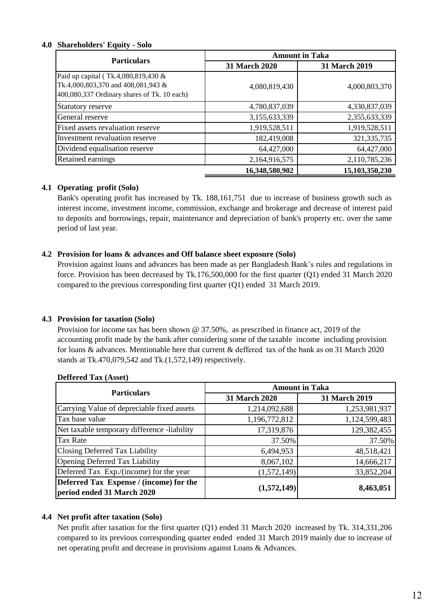#### **4.0 Shareholders' Equity - Solo**

| <b>Particulars</b>                                                                                                       | <b>Amount in Taka</b> |                |  |
|--------------------------------------------------------------------------------------------------------------------------|-----------------------|----------------|--|
|                                                                                                                          | 31 March 2020         | 31 March 2019  |  |
| Paid up capital (Tk.4,080,819,430 &<br>Tk.4,000,803,370 and 408,081,943 &<br>400,080,337 Ordinary shares of Tk. 10 each) | 4,080,819,430         | 4,000,803,370  |  |
| Statutory reserve                                                                                                        | 4,780,837,039         | 4,330,837,039  |  |
| General reserve                                                                                                          | 3,155,633,339         | 2,355,633,339  |  |
| Fixed assets revaluation reserve                                                                                         | 1,919,528,511         | 1,919,528,511  |  |
| Investment revaluation reserve                                                                                           | 182,419,008           | 321, 335, 735  |  |
| Dividend equalisation reserve                                                                                            | 64,427,000            | 64,427,000     |  |
| Retained earnings                                                                                                        | 2,164,916,575         | 2,110,785,236  |  |
|                                                                                                                          | 16,348,580,902        | 15,103,350,230 |  |

## **4.1 Operating profit (Solo)**

Bank's operating profit has increased by Tk. 188,161,751 due to increase of business growth such as interest income, investment income, commission, exchange and brokerage and decrease of interest paid to deposits and borrowings, repair, maintenance and depreciation of bank's property etc. over the same period of last year.

## **4.2 Provision for loans & advances and Off balance sheet exposure (Solo)**

Provision against loans and advances has been made as per Bangladesh Bank's rules and regulations in force. Provision has been decreased by Tk.176,500,000 for the first quarter (Q1) ended 31 March 2020 compared to the previous corresponding first quarter (Q1) ended 31 March 2019.

## **4.3 Provision for taxation (Solo)**

Provision for income tax has been shown @ 37.50%, as prescribed in finance act, 2019 of the accounting profit made by the bank after considering some of the taxable income including provision for loans & advances. Mentionable here that current & deffered tax of the bank as on 31 March 2020 stands at Tk.470,079,542 and Tk.(1,572,149) respectively.

| <b>Particulars</b>                                                    | <b>Amount in Taka</b> |               |  |
|-----------------------------------------------------------------------|-----------------------|---------------|--|
|                                                                       | 31 March 2020         | 31 March 2019 |  |
| Carrying Value of depreciable fixed assets                            | 1,214,092,688         | 1,253,981,937 |  |
| Tax base value                                                        | 1,196,772,812         | 1,124,599,483 |  |
| Net taxable temporary difference -liability                           | 17,319,876            | 129,382,455   |  |
| Tax Rate                                                              | 37.50%                | 37.50%        |  |
| Closing Deferred Tax Liability                                        | 6,494,953             | 48,518,421    |  |
| <b>Opening Deferred Tax Liability</b>                                 | 8,067,102             | 14,666,217    |  |
| Deferred Tax Exp./(income) for the year                               | (1,572,149)           | 33,852,204    |  |
| Deferred Tax Expense / (income) for the<br>period ended 31 March 2020 | (1,572,149)           | 8,463,051     |  |

#### **Deffered Tax (Asset)**

## **4.4 Net profit after taxation (Solo)**

Net profit after taxation for the first quarter (Q1) ended 31 March 2020 increased by Tk. 314,331,206 compared to its previous corresponding quarter ended ended 31 March 2019 mainly due to increase of net operating profit and decrease in provisions against Loans & Advances.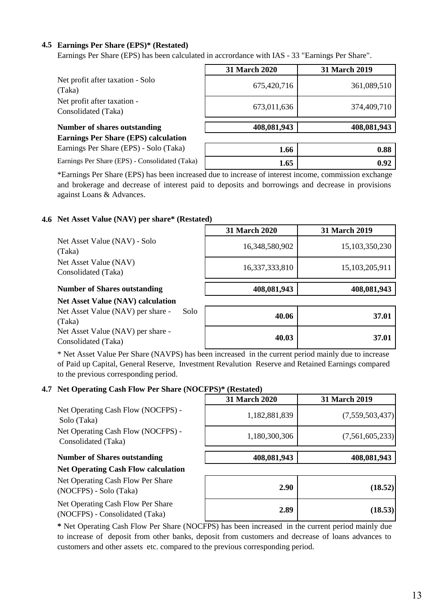## **4.5 Earnings Per Share (EPS)\* (Restated)**

Earnings Per Share (EPS) has been calculated in accrordance with IAS - 33 "Earnings Per Share".

|                                                    | 31 March 2020 | 31 March 2019 |
|----------------------------------------------------|---------------|---------------|
| Net profit after taxation - Solo<br>(Taka)         | 675,420,716   | 361,089,510   |
| Net profit after taxation -<br>Consolidated (Taka) | 673,011,636   | 374,409,710   |
|                                                    |               |               |
| Number of shares outstanding                       | 408,081,943   | 408,081,943   |
| <b>Earnings Per Share (EPS) calculation</b>        |               |               |
|                                                    |               |               |

Earnings Per Share (EPS) - Solo (Taka)

Earnings Per Share (EPS) - Consolidated (Taka)

\*Earnings Per Share (EPS) has been increased due to increase of interest income, commission exchange and brokerage and decrease of interest paid to deposits and borrowings and decrease in provisions against Loans & Advances.

## **4.6 Net Asset Value (NAV) per share\* (Restated)**

|                                              | 31 March 2020  | 31 March 2019     |
|----------------------------------------------|----------------|-------------------|
| Net Asset Value (NAV) - Solo<br>(Taka)       | 16,348,580,902 | 15, 103, 350, 230 |
| Net Asset Value (NAV)<br>Consolidated (Taka) | 16,337,333,810 | 15,103,205,911    |
| <b>Number of Shares outstanding</b>          | 408,081,943    | 408,081,943       |
| <b>Net Asset Value (NAV) calculation</b>     |                |                   |

Net Asset Value (NAV) per share - Solo (Taka) Net Asset Value (NAV) per share - Consolidated (Taka)

| 40.06 | 37.01 |
|-------|-------|
| 40.03 | 37.01 |

**1.66** 0.88 **1.65** 0.92

\* Net Asset Value Per Share (NAVPS) has been increased in the current period mainly due to increase of Paid up Capital, General Reserve, Investment Revalution Reserve and Retained Earnings compared to the previous corresponding period.

#### **4.7 Net Operating Cash Flow Per Share (NOCFPS)\* (Restated)**

Net Operating Cash Flow (NOCFPS) - Solo (Taka) Net Operating Cash Flow (NOCFPS) - Consolidated (Taka)

#### **Number of Shares outstanding**

# **Net Operating Cash Flow calculation**

Net Operating Cash Flow Per Share (NOCFPS) - Solo (Taka)

Net Operating Cash Flow Per Share (NOCFPS) - Consolidated (Taka)

| 31 March 2020 | <b>31 March 2019</b> |  |
|---------------|----------------------|--|
| 1,182,881,839 | (7,559,503,437)      |  |
| 1,180,300,306 | (7,561,605,233)      |  |
| 408,081,943   | 408,081,943          |  |

| 2.90 | (18.52) |
|------|---------|
| 2.89 | (18.53) |

**\*** Net Operating Cash Flow Per Share (NOCFPS) has been increased in the current period mainly due to increase of deposit from other banks, deposit from customers and decrease of loans advances to customers and other assets etc. compared to the previous corresponding period.